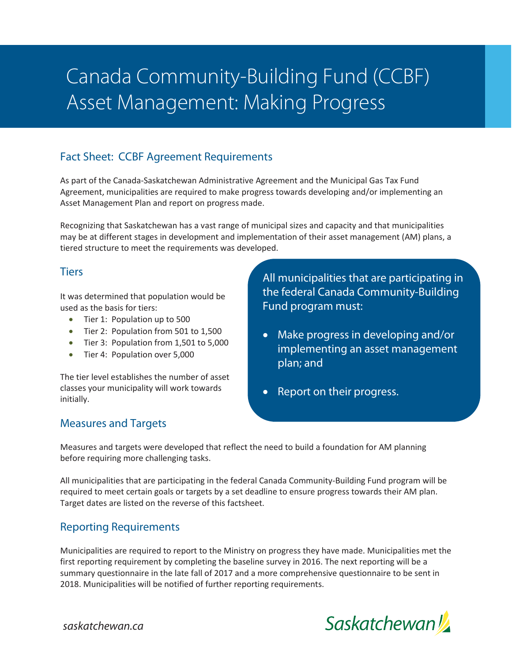# Canada Community-Building Fund (CCBF) Asset Management: Making Progress

## Fact Sheet: CCBF Agreement Requirements

As part of the Canada-Saskatchewan Administrative Agreement and the Municipal Gas Tax Fund Agreement, municipalities are required to make progress towards developing and/or implementing an Asset Management Plan and report on progress made.

Recognizing that Saskatchewan has a vast range of municipal sizes and capacity and that municipalities may be at different stages in development and implementation of their asset management (AM) plans, a tiered structure to meet the requirements was developed.

#### **Tiers**

It was determined that population would be used as the basis for tiers:

- Tier 1: Population up to 500
- Tier 2: Population from 501 to 1,500
- Tier 3: Population from 1,501 to 5,000
- Tier 4: Population over 5,000

The tier level establishes the number of asset classes your municipality will work towards initially.

All municipalities that are participating in the federal Canada Community-Building Fund program must:

- Make progress in developing and/or implementing an asset management plan; and
- Report on their progress.

## Measures and Targets

Measures and targets were developed that reflect the need to build a foundation for AM planning before requiring more challenging tasks.

All municipalities that are participating in the federal Canada Community-Building Fund program will be required to meet certain goals or targets by a set deadline to ensure progress towards their AM plan. Target dates are listed on the reverse of this factsheet.

## Reporting Requirements

Municipalities are required to report to the Ministry on progress they have made. Municipalities met the first reporting requirement by completing the baseline survey in 2016. The next reporting will be a summary questionnaire in the late fall of 2017 and a more comprehensive questionnaire to be sent in 2018. Municipalities will be notified of further reporting requirements.